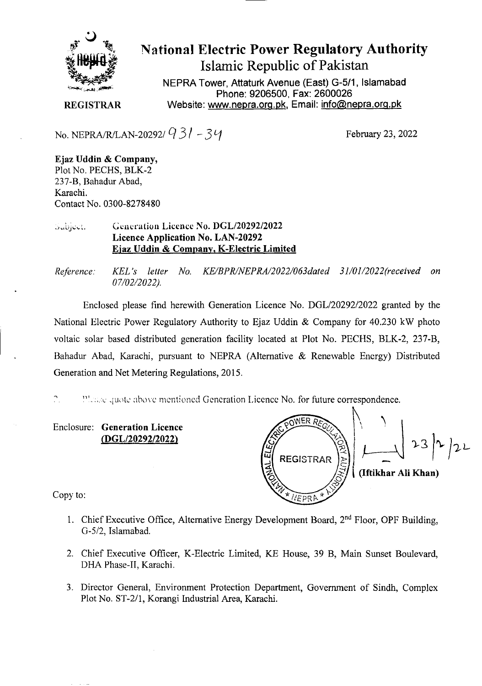

National Electric Power Regulatory Authority Islamic Republic of Pakistan

**NEPRA Tower, Attaturk Avenue (East) G-511, Islamabad Phone: 9206500, Fax: 2600026 REGISTRAR** Website: www.nepra.org.pk, Email: info@nepra.org.pk

No. NEPRA/R/LAN-20292/  $931 - 34$ <br>February 23, 2022

**Ejaz Uddin** & **Company,**  Plot No. PECHS, BLK-2 237-B, Bahadur Abad, Karachi. Contact No. 0300-8278480

## Generation Licence No. DGL/20292/2022 Subject. **Licence Application** No. LAN-20292 **Ejaz Uddin & Company, K-Electric Limited**

*Reference. KEL 's letter No. KE/BPR/NEPRA/2022/063dated 31/01/2022(received on 07/02/2022).* 

Enclosed please find herewith Generation Licence No. DGL/20292/2022 granted by the National Electric Power Regulatory Authority to Ejaz Uddin  $&$  Company for 40.230 kW photo voltaic solar based distributed generation facility located at Plot No. PECHS, BLK-2, 237-B, Bahadur Abad, Karachi, pursuant to NEPRA (Alternative & Renewable Energy) Distributed Generation and Net Metering Regulations, 2015.

 $\mathbb{C}$ Please quote above mentioned Generation Licence No. for future correspondence.

Enclosure: Generation Licence *(DGL12029212022)* 

OWER P REGISTRAR  $\begin{bmatrix} 1 & 1 & 1 \\ 1 & 1 & 1 \\ 1 & 1 & 1 \end{bmatrix}$   $\begin{bmatrix} 1 & 1 & 1 \\ 1 & 1 & 1 \\ 1 & 1 & 1 \end{bmatrix}$   $\begin{bmatrix} 1 & 1 & 1 \\ 1 & 1 & 1 \\ 1 & 1 & 1 \end{bmatrix}$ **(Iftikhar Ali Khan)** *V*  NEPRA

Copy to:

- 1. Chief Executive Office, Alternative Energy Development Board, 2<sup>nd</sup> Floor, OPF Building, G-5/2, Islamabad.
- 2. Chief Executive Officer, K-Electric Limited, KE House, 39 B, Main Sunset Boulevard, I)HA Phase-IT, Karachi.
- 3. Director General, Environment Protection Department, Government of Sindh, Complex Plot No. ST-2/1, Korangi Industrial Area, Karachi.